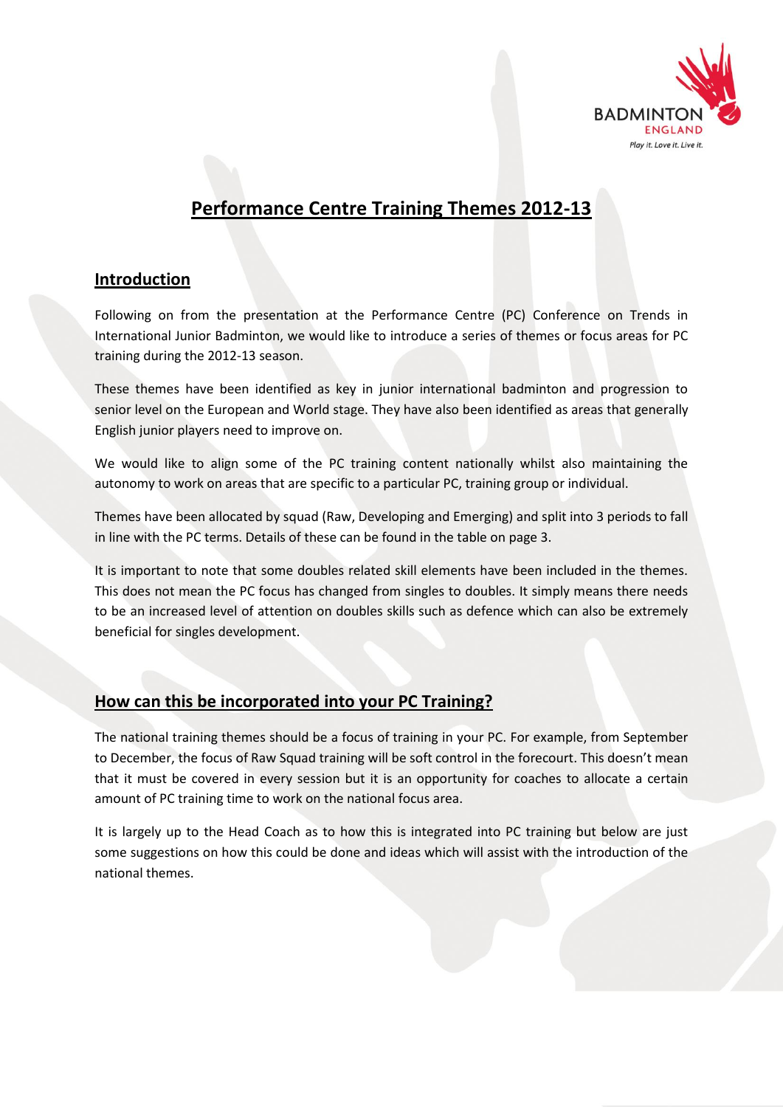

# **Performance Centre Training Themes 2012-13**

## **Introduction**

Following on from the presentation at the Performance Centre (PC) Conference on Trends in International Junior Badminton, we would like to introduce a series of themes or focus areas for PC training during the 2012-13 season.

These themes have been identified as key in junior international badminton and progression to senior level on the European and World stage. They have also been identified as areas that generally English junior players need to improve on.

We would like to align some of the PC training content nationally whilst also maintaining the autonomy to work on areas that are specific to a particular PC, training group or individual.

Themes have been allocated by squad (Raw, Developing and Emerging) and split into 3 periods to fall in line with the PC terms. Details of these can be found in the table on page 3.

It is important to note that some doubles related skill elements have been included in the themes. This does not mean the PC focus has changed from singles to doubles. It simply means there needs to be an increased level of attention on doubles skills such as defence which can also be extremely beneficial for singles development.

## **How can this be incorporated into your PC Training?**

The national training themes should be a focus of training in your PC. For example, from September to December, the focus of Raw Squad training will be soft control in the forecourt. This doesn't mean that it must be covered in every session but it is an opportunity for coaches to allocate a certain amount of PC training time to work on the national focus area.

It is largely up to the Head Coach as to how this is integrated into PC training but below are just some suggestions on how this could be done and ideas which will assist with the introduction of the national themes.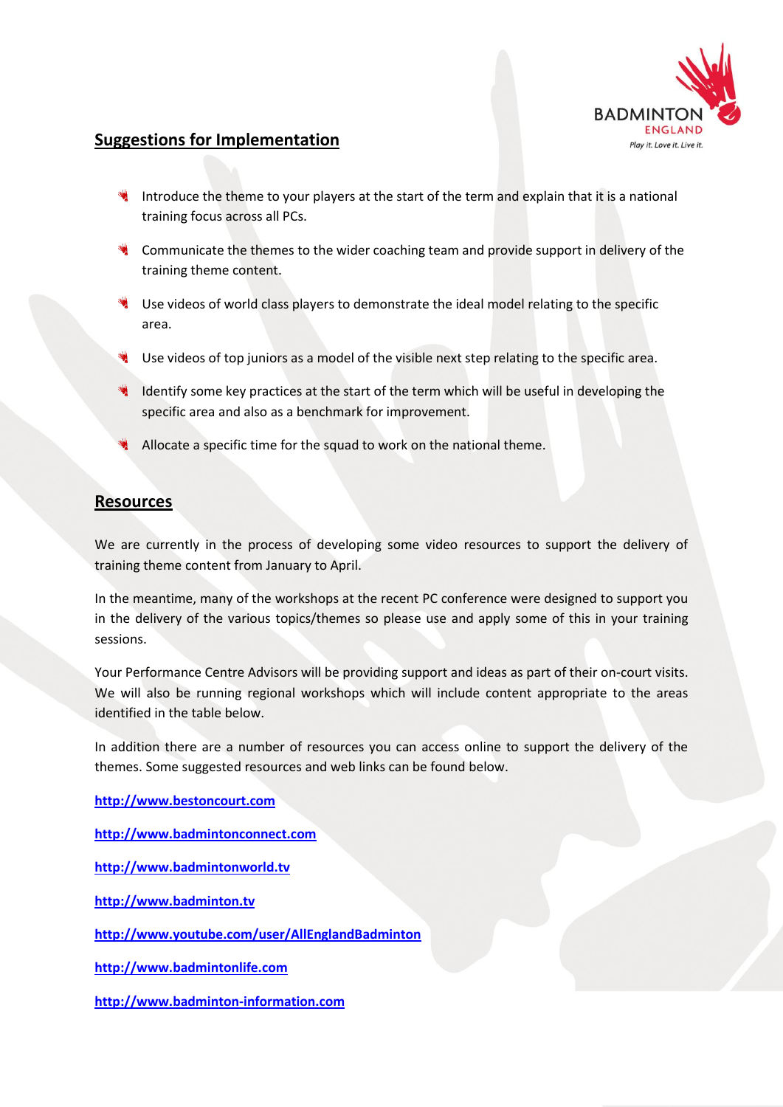

### **Suggestions for Implementation**

- Introduce the theme to your players at the start of the term and explain that it is a national training focus across all PCs.
- Communicate the themes to the wider coaching team and provide support in delivery of the training theme content.
- Use videos of world class players to demonstrate the ideal model relating to the specific area.
- Use videos of top juniors as a model of the visible next step relating to the specific area.
- Identify some key practices at the start of the term which will be useful in developing the specific area and also as a benchmark for improvement.
- Allocate a specific time for the squad to work on the national theme.

## **Resources**

We are currently in the process of developing some video resources to support the delivery of training theme content from January to April.

In the meantime, many of the workshops at the recent PC conference were designed to support you in the delivery of the various topics/themes so please use and apply some of this in your training sessions.

Your Performance Centre Advisors will be providing support and ideas as part of their on-court visits. We will also be running regional workshops which will include content appropriate to the areas identified in the table below.

In addition there are a number of resources you can access online to support the delivery of the themes. Some suggested resources and web links can be found below.

**[http://www.bestoncourt.com](http://www.bestoncourt.com/)**

**[http://www.badmintonconnect.com](http://www.badmintonconnect.com/)**

**[http://www.badmintonworld.tv](http://www.badmintonworld.tv/)**

**[http://www.badminton.tv](http://www.badminton.tv/)**

**<http://www.youtube.com/user/AllEnglandBadminton>**

**[http://www.badmintonlife.com](http://www.badmintonlife.com/)**

**[http://www.badminton-information.com](http://www.badminton-information.com/)**